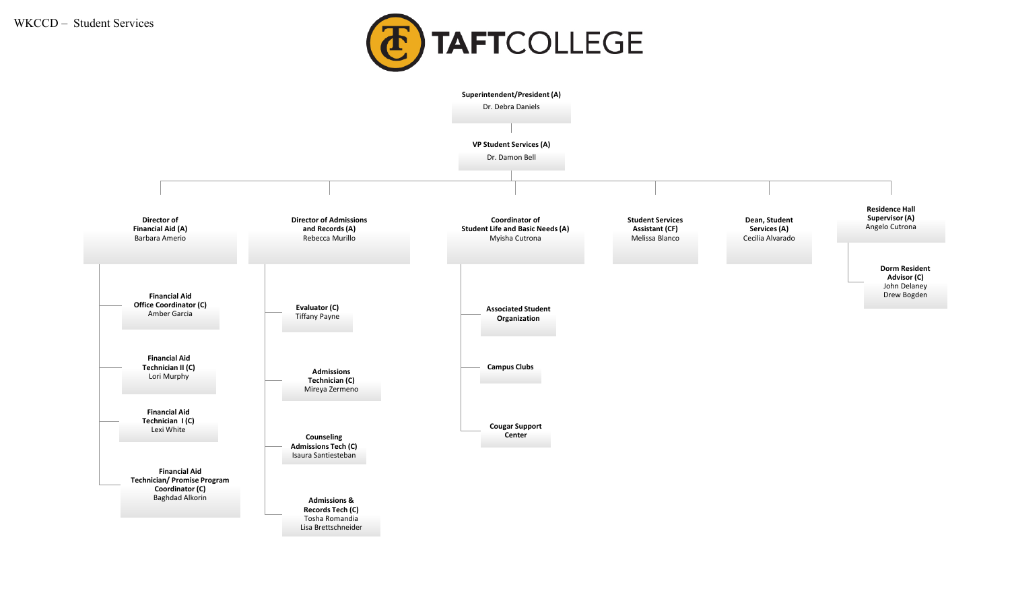